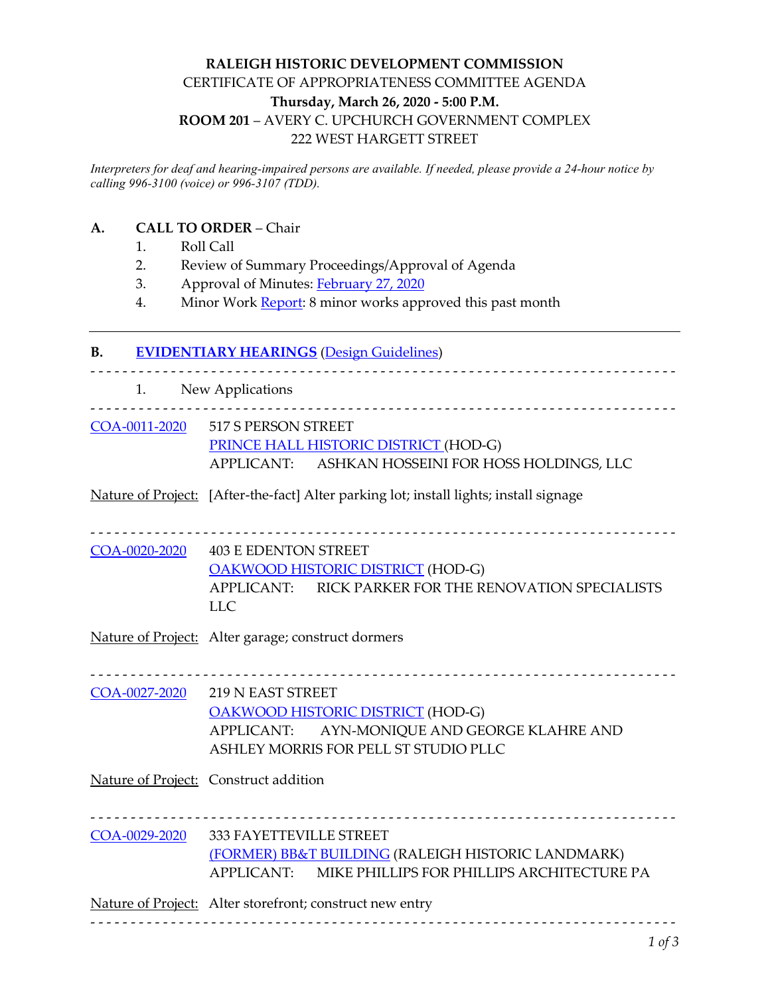## **RALEIGH HISTORIC DEVELOPMENT COMMISSION** CERTIFICATE OF APPROPRIATENESS COMMITTEE AGENDA **Thursday, March 26, 2020 - 5:00 P.M. ROOM 201** – AVERY C. UPCHURCH GOVERNMENT COMPLEX 222 WEST HARGETT STREET

*Interpreters for deaf and hearing-impaired persons are available. If needed, please provide a 24-hour notice by calling 996-3100 (voice) or 996-3107 (TDD).*

#### **A. CALL TO ORDER** – Chair

- 1. Roll Call
- 2. Review of Summary Proceedings/Approval of Agenda
- 3. Approval of Minutes: [February](https://cityofraleigh0drupal.blob.core.usgovcloudapi.net/drupal-prod/COR10/COAPriorMeetingDraftMinutes.pdf) 27, 2020
- 4. Minor Work [Report:](https://cityofraleigh0drupal.blob.core.usgovcloudapi.net/drupal-prod/COR10/COAMinorWorksReport.pdf) 8 minor works approved this past month

# **B. [EVIDENTIARY HEARINGS](http://rhdc.org/sites/default/files/COA_Meeting_Procedure_2017.pdf)** [\(Design Guidelines\)](https://cityofraleigh0drupal.blob.core.usgovcloudapi.net/drupal-prod/COR10/RHDCGuidelines.pdf)

|               | 1. New Applications                                                                                                                                           |
|---------------|---------------------------------------------------------------------------------------------------------------------------------------------------------------|
|               | COA-0011-2020 517 S PERSON STREET<br>PRINCE HALL HISTORIC DISTRICT (HOD-G)<br>APPLICANT: ASHKAN HOSSEINI FOR HOSS HOLDINGS, LLC                               |
|               | Nature of Project: [After-the-fact] Alter parking lot; install lights; install signage                                                                        |
|               | COA-0020-2020 403 E EDENTON STREET<br><b>OAKWOOD HISTORIC DISTRICT (HOD-G)</b><br>APPLICANT: RICK PARKER FOR THE RENOVATION SPECIALISTS<br><b>LLC</b>         |
|               | Nature of Project: Alter garage; construct dormers                                                                                                            |
| COA-0027-2020 | <b>219 N EAST STREET</b><br><b>OAKWOOD HISTORIC DISTRICT (HOD-G)</b><br>APPLICANT: AYN-MONIQUE AND GEORGE KLAHRE AND<br>ASHLEY MORRIS FOR PELL ST STUDIO PLLC |
|               | Nature of Project: Construct addition                                                                                                                         |
| COA-0029-2020 | 333 FAYETTEVILLE STREET<br>(FORMER) BB&T BUILDING (RALEIGH HISTORIC LANDMARK)<br>APPLICANT: MIKE PHILLIPS FOR PHILLIPS ARCHITECTURE PA                        |
|               | Nature of Project: Alter storefront; construct new entry                                                                                                      |
|               | 1 of 3                                                                                                                                                        |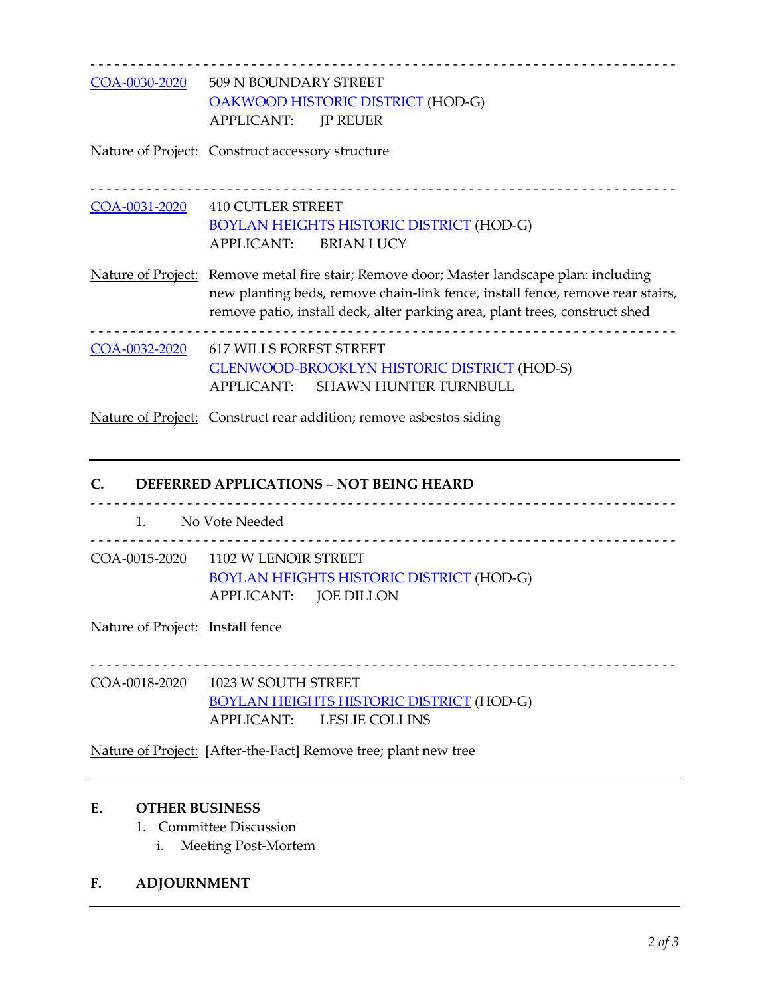- - - - - - - - - - - - - - - - - - - - - - - - - - - - - - - - - - - - - - - - - - - - - - - - - - - - - - - - - - - - - - - - - - - - - - - - - [COA-0030-2020](https://cityofraleigh0drupal.blob.core.usgovcloudapi.net/drupal-prod/COR15/COA-0030-2020.pdf) 509 N BOUNDARY STREET [OAKWOOD HISTORIC DISTRICT](https://rhdc.org/raleigh-historic-resources/raleigh-historic-districts/oakwood/character) (HOD-G) APPLICANT: JP REUER

Nature of Project: Construct accessory structure

- - - - - - - - - - - - - - - - - - - - - - - - - - - - - - - - - - - - - - - - - - - - - - - - - - - - - - - - - - - - - - - - - - - - - - - - - [COA-0031-2020](https://cityofraleigh0drupal.blob.core.usgovcloudapi.net/drupal-prod/COR15/COA-0031-2020.pdf) 410 CUTLER STREET [BOYLAN HEIGHTS HISTORIC DISTRICT](https://rhdc.org/preservation-services/local-historic-landmark-and-district-designation/raleigh-historic-districts/boylan-heights/charter) (HOD-G) APPLICANT: BRIAN LUCY

Nature of Project: Remove metal fire stair; Remove door; Master landscape plan: including new planting beds, remove chain-link fence, install fence, remove rear stairs, remove patio, install deck, alter parking area, plant trees, construct shed

- - - - - - - - - - - - - - - - - - - - - - - - - - - - - - - - - - - - - - - - - - - - - - - - - - - - - - - - - - - - - - - - - - - - - - - - - [COA-0032-2020](https://cityofraleigh0drupal.blob.core.usgovcloudapi.net/drupal-prod/COR15/COA-0032-2020.pdf) 617 WILLS FOREST STREET [GLENWOOD-BROOKLYN HISTORIC DISTRICT](https://rhdc.org/glenwood-brooklyn-historic-district-1) (HOD-S) APPLICANT: SHAWN HUNTER TURNBULL

Nature of Project: Construct rear addition; remove asbestos siding

## **C. DEFERRED APPLICATIONS – NOT BEING HEARD**

- - - - - - - - - - - - - - - - - - - - - - - - - - - - - - - - - - - - - - - - - - - - - - - - - - - - - - - - - - - - - - - - - - - - - - - - - 1. No Vote Needed - - - - - - - - - - - - - - - - - - - - - - - - - - - - - - - - - - - - - - - - - - - - - - - - - - - - - - - - - - - - - - - - - - - - - - - - - COA-0015-2020 1102 W LENOIR STREET [BOYLAN HEIGHTS HISTORIC DISTRICT](https://rhdc.org/preservation-services/local-historic-landmark-and-district-designation/raleigh-historic-districts/boylan-heights/charter) (HOD-G) APPLICANT: JOE DILLON

Nature of Project: Install fence

- - - - - - - - - - - - - - - - - - - - - - - - - - - - - - - - - - - - - - - - - - - - - - - - - - - - - - - - - - - - - - - - - - - - - - - - - COA-0018-2020 1023 W SOUTH STREET

[BOYLAN HEIGHTS HISTORIC DISTRICT](https://rhdc.org/preservation-services/local-historic-landmark-and-district-designation/raleigh-historic-districts/boylan-heights/charter) (HOD-G) APPLICANT: LESLIE COLLINS

Nature of Project: [After-the-Fact] Remove tree; plant new tree

#### **E. OTHER BUSINESS**

- 1. Committee Discussion
	- i. Meeting Post-Mortem

#### **F. ADJOURNMENT**